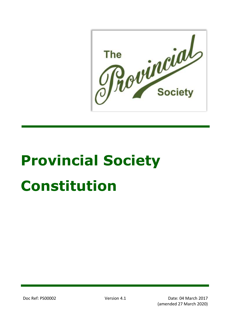he princial **The** 

# **Provincial Society Constitution**

Doc Ref: PS00002 Version 4.1 Date: 04 March 2017 (amended 27 March 2020)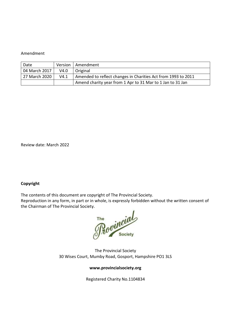#### Amendment

| Date          |      | Version   Amendment                                           |
|---------------|------|---------------------------------------------------------------|
| 04 March 2017 | V4.0 | Original                                                      |
| 27 March 2020 | V4.1 | Amended to reflect changes in Charities Act from 1993 to 2011 |
|               |      | Amend charity year from 1 Apr to 31 Mar to 1 Jan to 31 Jan    |

Review date: March 2022

#### **Copyright**

The contents of this document are copyright of The Provincial Society.

Reproduction in any form, in part or in whole, is expressly forbidden without the written consent of the Chairman of The Provincial Society.

The vincial

The Provincial Society 30 Wises Court, Mumby Road, Gosport, Hampshire PO1 3LS

#### **www.provincialsociety.org**

Registered Charity No.1104834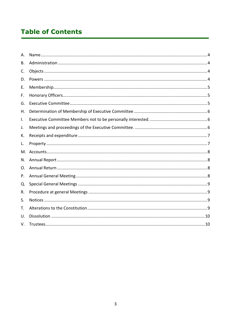# **Table of Contents**

| A. |  |
|----|--|
| В. |  |
| C. |  |
| D. |  |
| Ε. |  |
| F. |  |
| G. |  |
| Η. |  |
| I. |  |
| J. |  |
| К. |  |
| L. |  |
| M. |  |
| N. |  |
| 0. |  |
| P. |  |
| Q. |  |
| R. |  |
| S. |  |
| T. |  |
| U. |  |
| V. |  |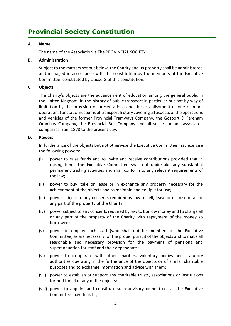# **Provincial Society Constitution**

## <span id="page-3-0"></span>**A. Name**

The name of the Association is The PROVINCIAL SOCIETY.

#### <span id="page-3-1"></span>**B. Administration**

Subject to the matters set out below, the Charity and its property shall be administered and managed in accordance with the constitution by the members of the Executive Committee, constituted by clause G of this constitution.

## <span id="page-3-2"></span>**C. Objects**

The Charity's objects are the advancement of education among the general public in the United Kingdom, in the history of public transport in particular but not by way of limitation by the provision of presentations and the establishment of one or more operational or static museums of transport history covering all aspects of the operations and vehicles of the former Provincial Tramways Company, the Gosport & Fareham Omnibus Company, the Provincial Bus Company and all successor and associated companies from 1878 to the present day.

#### <span id="page-3-3"></span>**D. Powers**

In furtherance of the objects but not otherwise the Executive Committee may exercise the following powers:

- (i) power to raise funds and to invite and receive contributions provided that in raising funds the Executive Committee shall not undertake any substantial permanent trading activities and shall conform to any relevant requirements of the law;
- (ii) power to buy, take on lease or in exchange any property necessary for the achievement of the objects and to maintain and equip it for use;
- (iii) power subject to any consents required by law to sell, lease or dispose of all or any part of the property of the Charity;
- (iv) power subject to any consents required by law to borrow money and to charge all or any part of the property of the Charity with repayment of the money so borrowed;
- (v) power to employ such staff (who shall not be members of the Executive Committee) as are necessary for the proper pursuit of the objects and to make all reasonable and necessary provision for the payment of pensions and superannuation for staff and their dependants;
- (vi) power to co-operate with other charities, voluntary bodies and statutory authorities operating in the furtherance of the objects or of similar charitable purposes and to exchange information and advice with them;
- (vii) power to establish or support any charitable trusts, associations or institutions formed for all or any of the objects;
- (viii) power to appoint and constitute such advisory committees as the Executive Committee may think fit;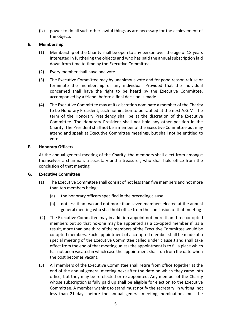(ix) power to do all such other lawful things as are necessary for the achievement of the objects

## <span id="page-4-0"></span>**E. Membership**

- (1) Membership of the Charity shall be open to any person over the age of 18 years interested in furthering the objects and who has paid the annual subscription laid down from time to time by the Executive Committee.
- (2) Every member shall have one vote.
- (3) The Executive Committee may by unanimous vote and for good reason refuse or terminate the membership of any individual: Provided that the individual concerned shall have the right to be heard by the Executive Committee, accompanied by a friend, before a final decision is made.
- (4) The Executive Committee may at its discretion nominate a member of the Charity to be Honorary President, such nomination to be ratified at the next A.G.M. The term of the Honorary Presidency shall be at the discretion of the Executive Committee. The Honorary President shall not hold any other position in the Charity. The President shall not be a member of the Executive Committee but may attend and speak at Executive Committee meetings, but shall not be entitled to vote.

#### <span id="page-4-1"></span>**F. Honorary Officers**

At the annual general meeting of the Charity, the members shall elect from amongst themselves a chairman, a secretary and a treasurer, who shall hold office from the conclusion of that meeting.

#### <span id="page-4-2"></span>**G. Executive Committee**

- (1) The Executive Committee shall consist of not less than five members and not more than ten members being:
	- (a) the honorary officers specified in the preceding clause;
	- (b) not less than two and not more than seven members elected at the annual general meeting who shall hold office from the conclusion of that meeting
- (2) The Executive Committee may in addition appoint not more than three co-opted members but so that no-one may be appointed as a co-opted member if, as a result, more than one third of the members of the Executive Committee would be co-opted members. Each appointment of a co-opted member shall be made at a special meeting of the Executive Committee called under clause J and shall take effect from the end of that meeting unless the appointment is to fill a place which has not been vacated in which case the appointment shall run from the date when the post becomes vacant.
- (3) All members of the Executive Committee shall retire from office together at the end of the annual general meeting next after the date on which they came into office, but they may be re-elected or re-appointed. Any member of the Charity whose subscription is fully paid up shall be eligible for election to the Executive Committee. A member wishing to stand must notify the secretary, in writing, not less than 21 days before the annual general meeting, nominations must be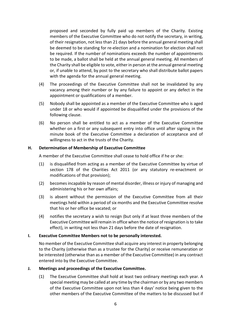proposed and seconded by fully paid up members of the Charity. Existing members of the Executive Committee who do not notify the secretary, in writing, of their resignation, not less than 21 days before the annual general meeting shall be deemed to be standing for re-election and a nomination for election shall not be required. If the number of nominations exceeds the number of appointments to be made, a ballot shall be held at the annual general meeting. All members of the Charity shall be eligible to vote, either in person at the annual general meeting or, if unable to attend, by post to the secretary who shall distribute ballot papers with the agenda for the annual general meeting.

- (4) The proceedings of the Executive Committee shall not be invalidated by any vacancy among their number or by any failure to appoint or any defect in the appointment or qualifications of a member.
- (5) Nobody shall be appointed as a member of the Executive Committee who is aged under 18 or who would if appointed be disqualified under the provisions of the following clause.
- (6) No person shall be entitled to act as a member of the Executive Committee whether on a first or any subsequent entry into office until after signing in the minute book of the Executive Committee a declaration of acceptance and of willingness to act in the trusts of the Charity.

#### <span id="page-5-0"></span>**H. Determination of Membership of Executive Committee**

A member of the Executive Committee shall cease to hold office if he or she:

- (1) is disqualified from acting as a member of the Executive Committee by virtue of section 178 of the Charities Act 2011 (or any statutory re-enactment or modifications of that provision);
- (2) becomes incapable by reason of mental disorder, illness or injury of managing and administering his or her own affairs;
- (3) is absent without the permission of the Executive Committee from all their meetings held within a period of six months and the Executive Committee resolve that his or her office be vacated; or
- (4) notifies the secretary a wish to resign (but only if at least three members of the Executive Committee will remain in office when the notice of resignation is to take effect), in writing not less than 21 days before the date of resignation.

#### <span id="page-5-1"></span>**I. Executive Committee Members not to be personally interested.**

No member of the Executive Committee shall acquire any interest in property belonging to the Charity (otherwise than as a trustee for the Charity) or receive remuneration or be interested (otherwise than as a member of the Executive Committee) in any contract entered into by the Executive Committee.

#### <span id="page-5-2"></span>**J. Meetings and proceedings of the Executive Committee.**

(1) The Executive Committee shall hold at least two ordinary meetings each year. A special meeting may be called at any time by the chairman or by any two members of the Executive Committee upon not less than 4 days' notice being given to the other members of the Executive Committee of the matters to be discussed but if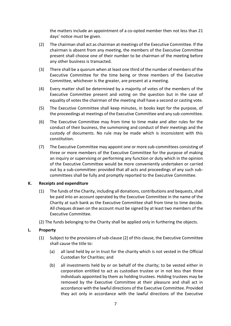the matters include an appointment of a co-opted member then not less than 21 days' notice must be given.

- (2) The chairman shall act as chairman at meetings of the Executive Committee. If the chairman is absent from any meeting, the members of the Executive Committee present shall choose one of their number to be chairman of the meeting before any other business is transacted.
- (3) There shall be a quorum when at least one third of the number of members of the Executive Committee for the time being or three members of the Executive Committee, whichever is the greater, are present at a meeting.
- (4) Every matter shall be determined by a majority of votes of the members of the Executive Committee present and voting on the question but in the case of equality of votes the chairman of the meeting shall have a second or casting vote.
- (5) The Executive Committee shall keep minutes, in books kept for the purpose, of the proceedings at meetings of the Executive Committee and any sub-committee.
- (6) The Executive Committee may from time to time make and alter rules for the conduct of their business, the summoning and conduct of their meetings and the custody of documents. No rule may be made which is inconsistent with this constitution.
- (7) The Executive Committee may appoint one or more sub-committees consisting of three or more members of the Executive Committee for the purpose of making an inquiry or supervising or performing any function or duty which in the opinion of the Executive Committee would be more conveniently undertaken or carried out by a sub-committee: provided that all acts and proceedings of any such subcommittees shall be fully and promptly reported to the Executive Committee.

#### <span id="page-6-0"></span>**K. Receipts and expenditure**

- (1) The funds of the Charity, including all donations, contributions and bequests, shall be paid into an account operated by the Executive Committee in the name of the Charity at such bank as the Executive Committee shall from time to time decide. All cheques drawn on the account must be signed by at least two members of the Executive Committee.
- (2) The funds belonging to the Charity shall be applied only in furthering the objects.

# <span id="page-6-1"></span>**L. Property**

- (1) Subject to the provisions of sub-clause (2) of this clause, the Executive Committee shall cause the title to:
	- (a) all land held by or in trust for the charity which is not vested in the Official Custodian for Charities; and
	- (b) all investments held by or on behalf of the charity; to be vested either in corporation entitled to act as custodian trustee or in not less than three individuals appointed by them as holding trustees. Holding trustees may be removed by the Executive Committee at their pleasure and shall act in accordance with the lawful directions of the Executive Committee. Provided they act only in accordance with the lawful directions of the Executive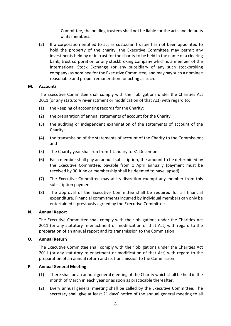Committee, the holding trustees shall not be liable for the acts and defaults of its members.

(2) If a corporation entitled to act as custodian trustee has not been appointed to hold the property of the charity, the Executive Committee may permit any investments held by or in trust for the charity to be held in the name of a clearing bank, trust corporation or any stockbroking company which is a member of the International Stock Exchange (or any subsidiary of any such stockbroking company) as nominee for the Executive Committee, and may pay such a nominee reasonable and proper remuneration for acting as such.

#### <span id="page-7-0"></span>**M. Accounts**

The Executive Committee shall comply with their obligations under the Charities Act 2011 (or any statutory re-enactment or modification of that Act) with regard to:

- (1) the keeping of accounting records for the Charity;
- (2) the preparation of annual statements of account for the Charity;
- (3) the auditing or independent examination of the statements of account of the Charity;
- (4) the transmission of the statements of account of the Charity to the Commission; and
- (5) The Charity year shall run from 1 January to 31 December
- (6) Each member shall pay an annual subscription, the amount to be determined by the Executive Committee, payable from 1 April annually (payment must be received by 30 June or membership shall be deemed to have lapsed)
- (7) The Executive Committee may at its discretion exempt any member from this subscription payment
- (8) The approval of the Executive Committee shall be required for all financial expenditure. Financial commitments incurred by individual members can only be entertained if previously agreed by the Executive Committee

#### <span id="page-7-1"></span>**N. Annual Report**

The Executive Committee shall comply with their obligations under the Charities Act 2011 (or any statutory re-enactment or modification of that Act) with regard to the preparation of an annual report and its transmission to the Commission.

#### <span id="page-7-2"></span>**O. Annual Return**

The Executive Committee shall comply with their obligations under the Charities Act 2011 (or any statutory re-enactment or modification of that Act) with regard to the preparation of an annual return and its transmission to the Commission.

#### <span id="page-7-3"></span>**P. Annual General Meeting**

- (1) There shall be an annual general meeting of the Charity which shall be held in the month of March in each year or as soon as practicable thereafter.
- (2) Every annual general meeting shall be called by the Executive Committee. The secretary shall give at least 21 days' notice of the annual general meeting to all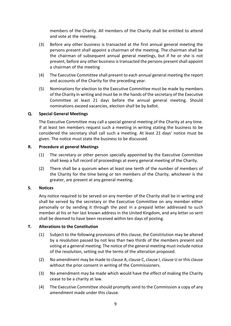members of the Charity. All members of the Charity shall be entitled to attend and vote at the meeting.

- (3) Before any other business is transacted at the first annual general meeting the persons present shall appoint a chairman of the meeting. The chairman shall be the chairman of subsequent annual general meetings, but if he or she is not present, before any other business is transacted the persons present shall appoint a chairman of the meeting
- (4) The Executive Committee shall present to each annual general meeting the report and accounts of the Charity for the preceding year.
- (5) Nominations for election to the Executive Committee must be made by members of the Charity in writing and must be in the hands of the secretary of the Executive Committee at least 21 days before the annual general meeting. Should nominations exceed vacancies, election shall be by ballot.

#### <span id="page-8-0"></span>**Q. Special General Meetings**

The Executive Committee may call a special general meeting of the Charity at any time. If at least ten members request such a meeting in writing stating the business to be considered the secretary shall call such a meeting. At least 21 days' notice must be given. The notice must state the business to be discussed.

#### <span id="page-8-1"></span>**R. Procedure at general Meetings**

- (1) The secretary or other person specially appointed by the Executive Committee shall keep a full record of proceedings at every general meeting of the Charity.
- (2) There shall be a quorum when at least one tenth of the number of members of the Charity for the time being or ten members of the Charity, whichever is the greater, are present at any general meeting.

#### <span id="page-8-2"></span>**S. Notices**

Any notice required to be served on any member of the Charity shall be in writing and shall be served by the secretary or the Executive Committee on any member either personally or by sending it through the post in a prepaid letter addressed to such member at his or her last known address in the United Kingdom, and any letter so sent shall be deemed to have been received within ten days of posting.

#### <span id="page-8-3"></span>**T. Alterations to the Constitution**

- (1) Subject to the following provisions of this clause, the Constitution may be altered by a resolution passed by not less than two thirds of the members present and voting at a general meeting. The notice of the general meeting must include notice of the resolution, setting out the terms of the alteration proposed.
- (2) No amendment may be made to clause A, clause C, clause I, clause U or this clause without the prior consent in writing of the Commissioners.
- (3) No amendment may be made which would have the effect of making the Charity cease to be a charity at law.
- (4) The Executive Committee should promptly send to the Commission a copy of any amendment made under this clause.